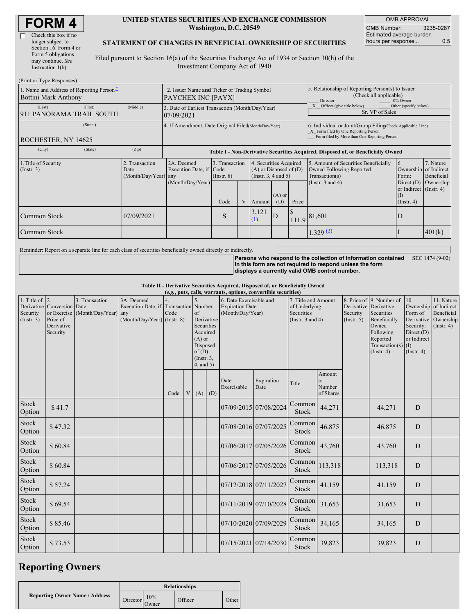#### **UNITED STATES SECURITIES AND EXCHANGE COMMISSION Washington, D.C. 20549**

OMB APPROVAL OMB Number: 3235-0287 Estimated average burden hours per response... 0.5

### **STATEMENT OF CHANGES IN BENEFICIAL OWNERSHIP OF SECURITIES**

Filed pursuant to Section 16(a) of the Securities Exchange Act of 1934 or Section 30(h) of the Investment Company Act of 1940

| (Print or Type Responses)                                        |                                                                   |                                                  |                                                                |                                   |  |                                                                                                     |                 |                                                                        |                                                                                                                                                    |                                                                   |                         |  |
|------------------------------------------------------------------|-------------------------------------------------------------------|--------------------------------------------------|----------------------------------------------------------------|-----------------------------------|--|-----------------------------------------------------------------------------------------------------|-----------------|------------------------------------------------------------------------|----------------------------------------------------------------------------------------------------------------------------------------------------|-------------------------------------------------------------------|-------------------------|--|
| 1. Name and Address of Reporting Person-<br>Bottini Mark Anthony | 2. Issuer Name and Ticker or Trading Symbol<br>PAYCHEX INC [PAYX] |                                                  |                                                                |                                   |  | 5. Relationship of Reporting Person(s) to Issuer<br>(Check all applicable)<br>10% Owner<br>Director |                 |                                                                        |                                                                                                                                                    |                                                                   |                         |  |
| (Last)<br>911 PANORAMA TRAIL SOUTH                               | (First)                                                           | (Middle)                                         | 3. Date of Earliest Transaction (Month/Day/Year)<br>07/09/2021 |                                   |  |                                                                                                     |                 | Other (specify below)<br>Officer (give title below)<br>Sr. VP of Sales |                                                                                                                                                    |                                                                   |                         |  |
| (Street)<br>ROCHESTER, NY 14625                                  |                                                                   |                                                  | 4. If Amendment, Date Original Filed(Month/Day/Year)           |                                   |  |                                                                                                     |                 |                                                                        | 6. Individual or Joint/Group Filing(Check Applicable Line)<br>X Form filed by One Reporting Person<br>Form filed by More than One Reporting Person |                                                                   |                         |  |
| (City)                                                           | (State)                                                           | (Zip)                                            |                                                                |                                   |  |                                                                                                     |                 |                                                                        | Table I - Non-Derivative Securities Acquired, Disposed of, or Beneficially Owned                                                                   |                                                                   |                         |  |
| 1. Title of Security<br>$($ Instr. 3 $)$                         |                                                                   | 2. Transaction<br>Date<br>$(Month/Day/Year)$ any | 2A. Deemed<br>Execution Date, if Code                          | 3. Transaction<br>$($ Instr. $8)$ |  | 4. Securities Acquired<br>$(A)$ or Disposed of $(D)$<br>(Insert. 3, 4 and 5)                        |                 |                                                                        | 5. Amount of Securities Beneficially<br>Owned Following Reported<br>Transaction(s)                                                                 | 16.<br>Ownership of Indirect<br>Form:                             | 7. Nature<br>Beneficial |  |
|                                                                  |                                                                   |                                                  | (Month/Day/Year)                                               | Code                              |  | Amount                                                                                              | $(A)$ or<br>(D) | Price                                                                  | (Instr. $3$ and $4$ )                                                                                                                              | Direct $(D)$<br>or Indirect (Instr. 4)<br>(I)<br>$($ Instr. 4 $)$ | Ownership               |  |
| Common Stock                                                     |                                                                   | 07/09/2021                                       |                                                                | S                                 |  | 3,121<br>(1)                                                                                        | D               |                                                                        | $111.9$ 81,601                                                                                                                                     | D                                                                 |                         |  |
| Common Stock                                                     |                                                                   |                                                  |                                                                |                                   |  |                                                                                                     |                 |                                                                        | 1,329(2)                                                                                                                                           |                                                                   | 401(k)                  |  |

Reminder: Report on a separate line for each class of securities beneficially owned directly or indirectly.

**Persons who respond to the collection of information contained in this form are not required to respond unless the form displays a currently valid OMB control number.** SEC 1474 (9-02)

**Table II - Derivative Securities Acquired, Disposed of, or Beneficially Owned (***e.g.***, puts, calls, warrants, options, convertible securities)**

| 1. Title of $\vert$ 2.<br>Security<br>(Insert. 3) | Derivative Conversion Date<br>Price of<br>Derivative<br>Security | 3. Transaction<br>or Exercise (Month/Day/Year) any | 3A. Deemed<br>Execution Date, if<br>$(Month/Day/Year)$ (Instr. 8) | $(\mathcal{C}, \mathcal{C})$ puts, cans, wait ants, options, convertible securities,<br><b>Transaction</b> Number<br>Code |   | 5.<br>of<br>Securities<br>Acquired<br>$(A)$ or<br>Disposed<br>of(D)<br>$($ Instr. $3$ ,<br>4, and 5) | Derivative  | 6. Date Exercisable and<br><b>Expiration Date</b><br>(Month/Day/Year) |                       | 7. Title and Amount<br>of Underlying<br>Securities<br>(Instr. $3$ and $4$ ) |                                     | Security<br>(Insert. 5) | 8. Price of 9. Number of<br>Derivative Derivative<br>Securities<br>Beneficially<br>Owned<br>Following<br>Reported<br>Transaction(s)<br>$($ Instr. 4 $)$ | 10.<br>Form of<br>Security:<br>Direct (D)<br>or Indirect<br>(1)<br>(Insert. 4) | 11. Nature<br>Ownership of Indirect<br>Beneficial<br>Derivative Ownership<br>(Insert. 4) |
|---------------------------------------------------|------------------------------------------------------------------|----------------------------------------------------|-------------------------------------------------------------------|---------------------------------------------------------------------------------------------------------------------------|---|------------------------------------------------------------------------------------------------------|-------------|-----------------------------------------------------------------------|-----------------------|-----------------------------------------------------------------------------|-------------------------------------|-------------------------|---------------------------------------------------------------------------------------------------------------------------------------------------------|--------------------------------------------------------------------------------|------------------------------------------------------------------------------------------|
|                                                   |                                                                  |                                                    |                                                                   | Code                                                                                                                      | V |                                                                                                      | $(A)$ $(D)$ | Date<br>Exercisable                                                   | Expiration<br>Date    | Title                                                                       | Amount<br>or<br>Number<br>of Shares |                         |                                                                                                                                                         |                                                                                |                                                                                          |
| <b>Stock</b><br>Option                            | \$41.7                                                           |                                                    |                                                                   |                                                                                                                           |   |                                                                                                      |             |                                                                       | 07/09/2015 07/08/2024 | Common<br>Stock                                                             | 44,271                              |                         | 44,271                                                                                                                                                  | D                                                                              |                                                                                          |
| <b>Stock</b><br>Option                            | \$47.32                                                          |                                                    |                                                                   |                                                                                                                           |   |                                                                                                      |             |                                                                       | 07/08/2016 07/07/2025 | Common<br>Stock                                                             | 46,875                              |                         | 46,875                                                                                                                                                  | D                                                                              |                                                                                          |
| <b>Stock</b><br>Option                            | \$60.84                                                          |                                                    |                                                                   |                                                                                                                           |   |                                                                                                      |             |                                                                       | 07/06/2017 07/05/2026 | Common<br>Stock                                                             | 43,760                              |                         | 43,760                                                                                                                                                  | D                                                                              |                                                                                          |
| <b>Stock</b><br>Option                            | \$60.84                                                          |                                                    |                                                                   |                                                                                                                           |   |                                                                                                      |             |                                                                       | 07/06/2017 07/05/2026 | Common<br>Stock                                                             | 113,318                             |                         | 113,318                                                                                                                                                 | D                                                                              |                                                                                          |
| <b>Stock</b><br>Option                            | \$57.24                                                          |                                                    |                                                                   |                                                                                                                           |   |                                                                                                      |             | 07/12/2018 07/11/2027                                                 |                       | Common<br><b>Stock</b>                                                      | 41,159                              |                         | 41,159                                                                                                                                                  | $\mathbf D$                                                                    |                                                                                          |
| <b>Stock</b><br>Option                            | \$69.54                                                          |                                                    |                                                                   |                                                                                                                           |   |                                                                                                      |             | 07/11/2019 07/10/2028                                                 |                       | Common<br>Stock                                                             | 31,653                              |                         | 31,653                                                                                                                                                  | D                                                                              |                                                                                          |
| Stock<br>Option                                   | \$85.46                                                          |                                                    |                                                                   |                                                                                                                           |   |                                                                                                      |             | 07/10/2020 07/09/2029                                                 |                       | Common<br>Stock                                                             | 34,165                              |                         | 34,165                                                                                                                                                  | D                                                                              |                                                                                          |
| <b>Stock</b><br>Option                            | \$73.53                                                          |                                                    |                                                                   |                                                                                                                           |   |                                                                                                      |             |                                                                       | 07/15/2021 07/14/2030 | Common<br>Stock                                                             | 39,823                              |                         | 39,823                                                                                                                                                  | D                                                                              |                                                                                          |

## **Reporting Owners**

|                                       |          |              | <b>Relationships</b> |              |
|---------------------------------------|----------|--------------|----------------------|--------------|
| <b>Reporting Owner Name / Address</b> | Director | 10%<br>Owner | Officer              | <b>Other</b> |